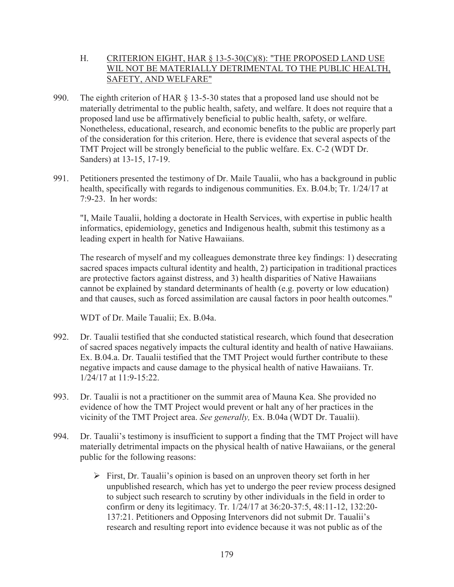## H. CRITERION EIGHT, HAR § 13-5-30(C)(8): "THE PROPOSED LAND USE WIL NOT BE MATERIALLY DETRIMENTAL TO THE PUBLIC HEALTH, SAFETY, AND WELFARE"

- 990. The eighth criterion of HAR § 13-5-30 states that a proposed land use should not be materially detrimental to the public health, safety, and welfare. It does not require that a proposed land use be affirmatively beneficial to public health, safety, or welfare. Nonetheless, educational, research, and economic benefits to the public are properly part of the consideration for this criterion. Here, there is evidence that several aspects of the TMT Project will be strongly beneficial to the public welfare. Ex. C-2 (WDT Dr. Sanders) at 13-15, 17-19.
- 991. Petitioners presented the testimony of Dr. Maile Taualii, who has a background in public health, specifically with regards to indigenous communities. Ex. B.04.b; Tr. 1/24/17 at 7:9-23. In her words:

"I, Maile Taualii, holding a doctorate in Health Services, with expertise in public health informatics, epidemiology, genetics and Indigenous health, submit this testimony as a leading expert in health for Native Hawaiians.

The research of myself and my colleagues demonstrate three key findings: 1) desecrating sacred spaces impacts cultural identity and health, 2) participation in traditional practices are protective factors against distress, and 3) health disparities of Native Hawaiians cannot be explained by standard determinants of health (e.g. poverty or low education) and that causes, such as forced assimilation are causal factors in poor health outcomes."

WDT of Dr. Maile Taualii; Ex. B.04a.

- 992. Dr. Taualii testified that she conducted statistical research, which found that desecration of sacred spaces negatively impacts the cultural identity and health of native Hawaiians. Ex. B.04.a. Dr. Taualii testified that the TMT Project would further contribute to these negative impacts and cause damage to the physical health of native Hawaiians. Tr. 1/24/17 at 11:9-15:22.
- 993. Dr. Taualii is not a practitioner on the summit area of Mauna Kea. She provided no evidence of how the TMT Project would prevent or halt any of her practices in the vicinity of the TMT Project area. *See generally,* Ex. B.04a (WDT Dr. Taualii).
- 994. Dr. Taualii's testimony is insufficient to support a finding that the TMT Project will have materially detrimental impacts on the physical health of native Hawaiians, or the general public for the following reasons:
	- $\triangleright$  First, Dr. Taualii's opinion is based on an unproven theory set forth in her unpublished research, which has yet to undergo the peer review process designed to subject such research to scrutiny by other individuals in the field in order to confirm or deny its legitimacy. Tr. 1/24/17 at 36:20-37:5, 48:11-12, 132:20- 137:21. Petitioners and Opposing Intervenors did not submit Dr. Taualii's research and resulting report into evidence because it was not public as of the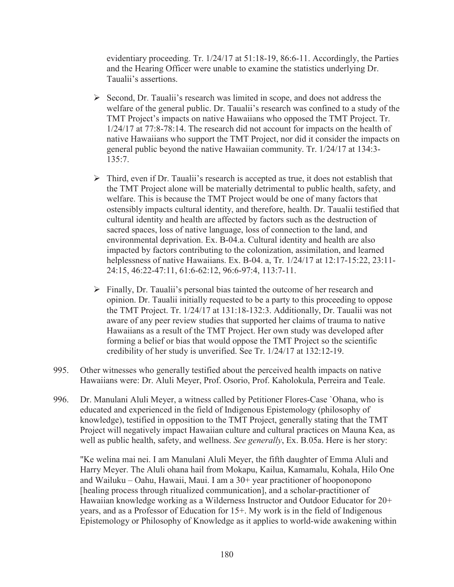evidentiary proceeding. Tr. 1/24/17 at 51:18-19, 86:6-11. Accordingly, the Parties and the Hearing Officer were unable to examine the statistics underlying Dr. Taualii's assertions.

- $\triangleright$  Second, Dr. Taualii's research was limited in scope, and does not address the welfare of the general public. Dr. Taualii's research was confined to a study of the TMT Project's impacts on native Hawaiians who opposed the TMT Project. Tr. 1/24/17 at 77:8-78:14. The research did not account for impacts on the health of native Hawaiians who support the TMT Project, nor did it consider the impacts on general public beyond the native Hawaiian community. Tr. 1/24/17 at 134:3- 135:7.
- $\triangleright$  Third, even if Dr. Taualii's research is accepted as true, it does not establish that the TMT Project alone will be materially detrimental to public health, safety, and welfare. This is because the TMT Project would be one of many factors that ostensibly impacts cultural identity, and therefore, health. Dr. Taualii testified that cultural identity and health are affected by factors such as the destruction of sacred spaces, loss of native language, loss of connection to the land, and environmental deprivation. Ex. B-04.a. Cultural identity and health are also impacted by factors contributing to the colonization, assimilation, and learned helplessness of native Hawaiians. Ex. B-04. a, Tr. 1/24/17 at 12:17-15:22, 23:11- 24:15, 46:22-47:11, 61:6-62:12, 96:6-97:4, 113:7-11.
- $\triangleright$  Finally, Dr. Taualii's personal bias tainted the outcome of her research and opinion. Dr. Taualii initially requested to be a party to this proceeding to oppose the TMT Project. Tr. 1/24/17 at 131:18-132:3. Additionally, Dr. Taualii was not aware of any peer review studies that supported her claims of trauma to native Hawaiians as a result of the TMT Project. Her own study was developed after forming a belief or bias that would oppose the TMT Project so the scientific credibility of her study is unverified. See Tr. 1/24/17 at 132:12-19.
- 995. Other witnesses who generally testified about the perceived health impacts on native Hawaiians were: Dr. Aluli Meyer, Prof. Osorio, Prof. Kaholokula, Perreira and Teale.
- 996. Dr. Manulani Aluli Meyer, a witness called by Petitioner Flores-Case `Ohana, who is educated and experienced in the field of Indigenous Epistemology (philosophy of knowledge), testified in opposition to the TMT Project, generally stating that the TMT Project will negatively impact Hawaiian culture and cultural practices on Mauna Kea, as well as public health, safety, and wellness. *See generally*, Ex. B.05a. Here is her story:

"Ke welina mai nei. I am Manulani Aluli Meyer, the fifth daughter of Emma Aluli and Harry Meyer. The Aluli ohana hail from Mokapu, Kailua, Kamamalu, Kohala, Hilo One and Wailuku – Oahu, Hawaii, Maui. I am a 30+ year practitioner of hooponopono [healing process through ritualized communication], and a scholar-practitioner of Hawaiian knowledge working as a Wilderness Instructor and Outdoor Educator for 20+ years, and as a Professor of Education for 15+. My work is in the field of Indigenous Epistemology or Philosophy of Knowledge as it applies to world-wide awakening within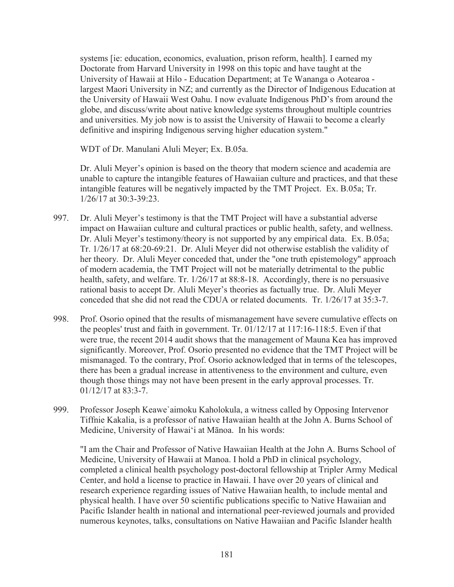systems [ie: education, economics, evaluation, prison reform, health]. I earned my Doctorate from Harvard University in 1998 on this topic and have taught at the University of Hawaii at Hilo - Education Department; at Te Wananga o Aotearoa largest Maori University in NZ; and currently as the Director of Indigenous Education at the University of Hawaii West Oahu. I now evaluate Indigenous PhD's from around the globe, and discuss/write about native knowledge systems throughout multiple countries and universities. My job now is to assist the University of Hawaii to become a clearly definitive and inspiring Indigenous serving higher education system."

WDT of Dr. Manulani Aluli Meyer; Ex. B.05a.

Dr. Aluli Meyer's opinion is based on the theory that modern science and academia are unable to capture the intangible features of Hawaiian culture and practices, and that these intangible features will be negatively impacted by the TMT Project. Ex. B.05a; Tr. 1/26/17 at 30:3-39:23.

- 997. Dr. Aluli Meyer's testimony is that the TMT Project will have a substantial adverse impact on Hawaiian culture and cultural practices or public health, safety, and wellness. Dr. Aluli Meyer's testimony/theory is not supported by any empirical data. Ex. B.05a; Tr. 1/26/17 at 68:20-69:21. Dr. Aluli Meyer did not otherwise establish the validity of her theory. Dr. Aluli Meyer conceded that, under the "one truth epistemology" approach of modern academia, the TMT Project will not be materially detrimental to the public health, safety, and welfare. Tr. 1/26/17 at 88:8-18. Accordingly, there is no persuasive rational basis to accept Dr. Aluli Meyer's theories as factually true. Dr. Aluli Meyer conceded that she did not read the CDUA or related documents. Tr. 1/26/17 at 35:3-7.
- 998. Prof. Osorio opined that the results of mismanagement have severe cumulative effects on the peoples' trust and faith in government. Tr. 01/12/17 at 117:16-118:5. Even if that were true, the recent 2014 audit shows that the management of Mauna Kea has improved significantly. Moreover, Prof. Osorio presented no evidence that the TMT Project will be mismanaged. To the contrary, Prof. Osorio acknowledged that in terms of the telescopes, there has been a gradual increase in attentiveness to the environment and culture, even though those things may not have been present in the early approval processes. Tr. 01/12/17 at 83:3-7.
- 999. Professor Joseph Keawe`aimoku Kaholokula, a witness called by Opposing Intervenor Tiffnie Kakalia, is a professor of native Hawaiian health at the John A. Burns School of Medicine, University of Hawai'i at Mānoa. In his words:

"I am the Chair and Professor of Native Hawaiian Health at the John A. Burns School of Medicine, University of Hawaii at Manoa. I hold a PhD in clinical psychology, completed a clinical health psychology post-doctoral fellowship at Tripler Army Medical Center, and hold a license to practice in Hawaii. I have over 20 years of clinical and research experience regarding issues of Native Hawaiian health, to include mental and physical health. I have over 50 scientific publications specific to Native Hawaiian and Pacific Islander health in national and international peer-reviewed journals and provided numerous keynotes, talks, consultations on Native Hawaiian and Pacific Islander health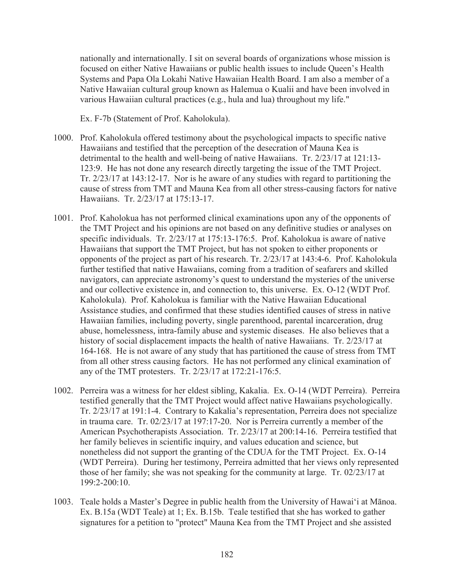nationally and internationally. I sit on several boards of organizations whose mission is focused on either Native Hawaiians or public health issues to include Queen's Health Systems and Papa Ola Lokahi Native Hawaiian Health Board. I am also a member of a Native Hawaiian cultural group known as Halemua o Kualii and have been involved in various Hawaiian cultural practices (e.g., hula and lua) throughout my life."

Ex. F-7b (Statement of Prof. Kaholokula).

- 1000. Prof. Kaholokula offered testimony about the psychological impacts to specific native Hawaiians and testified that the perception of the desecration of Mauna Kea is detrimental to the health and well-being of native Hawaiians. Tr. 2/23/17 at 121:13- 123:9. He has not done any research directly targeting the issue of the TMT Project. Tr. 2/23/17 at 143:12-17. Nor is he aware of any studies with regard to partitioning the cause of stress from TMT and Mauna Kea from all other stress-causing factors for native Hawaiians. Tr. 2/23/17 at 175:13-17.
- 1001. Prof. Kaholokua has not performed clinical examinations upon any of the opponents of the TMT Project and his opinions are not based on any definitive studies or analyses on specific individuals. Tr. 2/23/17 at 175:13-176:5. Prof. Kaholokua is aware of native Hawaiians that support the TMT Project, but has not spoken to either proponents or opponents of the project as part of his research. Tr. 2/23/17 at 143:4-6. Prof. Kaholokula further testified that native Hawaiians, coming from a tradition of seafarers and skilled navigators, can appreciate astronomy's quest to understand the mysteries of the universe and our collective existence in, and connection to, this universe. Ex. O-12 (WDT Prof. Kaholokula). Prof. Kaholokua is familiar with the Native Hawaiian Educational Assistance studies, and confirmed that these studies identified causes of stress in native Hawaiian families, including poverty, single parenthood, parental incarceration, drug abuse, homelessness, intra-family abuse and systemic diseases. He also believes that a history of social displacement impacts the health of native Hawaiians. Tr. 2/23/17 at 164-168. He is not aware of any study that has partitioned the cause of stress from TMT from all other stress causing factors. He has not performed any clinical examination of any of the TMT protesters. Tr. 2/23/17 at 172:21-176:5.
- 1002. Perreira was a witness for her eldest sibling, Kakalia. Ex. O-14 (WDT Perreira). Perreira testified generally that the TMT Project would affect native Hawaiians psychologically. Tr. 2/23/17 at 191:1-4. Contrary to Kakalia's representation, Perreira does not specialize in trauma care. Tr. 02/23/17 at 197:17-20. Nor is Perreira currently a member of the American Psychotherapists Association. Tr. 2/23/17 at 200:14-16. Perreira testified that her family believes in scientific inquiry, and values education and science, but nonetheless did not support the granting of the CDUA for the TMT Project. Ex. O-14 (WDT Perreira). During her testimony, Perreira admitted that her views only represented those of her family; she was not speaking for the community at large. Tr. 02/23/17 at 199:2-200:10.
- 1003. Teale holds a Master's Degree in public health from the University of Hawai'i at Mānoa. Ex. B.15a (WDT Teale) at 1; Ex. B.15b. Teale testified that she has worked to gather signatures for a petition to "protect" Mauna Kea from the TMT Project and she assisted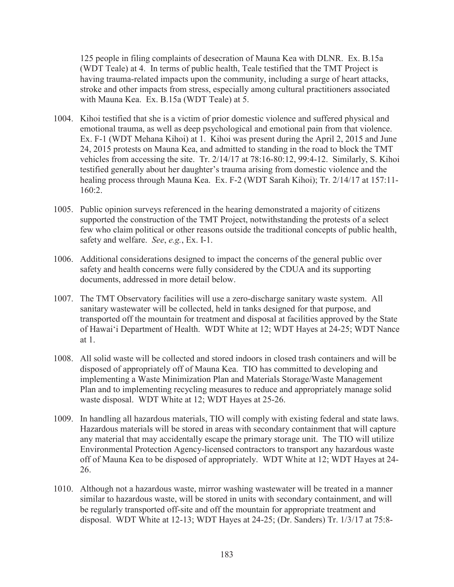125 people in filing complaints of desecration of Mauna Kea with DLNR. Ex. B.15a (WDT Teale) at 4. In terms of public health, Teale testified that the TMT Project is having trauma-related impacts upon the community, including a surge of heart attacks, stroke and other impacts from stress, especially among cultural practitioners associated with Mauna Kea. Ex. B.15a (WDT Teale) at 5.

- 1004. Kihoi testified that she is a victim of prior domestic violence and suffered physical and emotional trauma, as well as deep psychological and emotional pain from that violence. Ex. F-1 (WDT Mehana Kihoi) at 1. Kihoi was present during the April 2, 2015 and June 24, 2015 protests on Mauna Kea, and admitted to standing in the road to block the TMT vehicles from accessing the site. Tr. 2/14/17 at 78:16-80:12, 99:4-12. Similarly, S. Kihoi testified generally about her daughter's trauma arising from domestic violence and the healing process through Mauna Kea. Ex. F-2 (WDT Sarah Kihoi); Tr. 2/14/17 at 157:11- 160:2.
- 1005. Public opinion surveys referenced in the hearing demonstrated a majority of citizens supported the construction of the TMT Project, notwithstanding the protests of a select few who claim political or other reasons outside the traditional concepts of public health, safety and welfare. *See*, *e.g.*, Ex. I-1.
- 1006. Additional considerations designed to impact the concerns of the general public over safety and health concerns were fully considered by the CDUA and its supporting documents, addressed in more detail below.
- 1007. The TMT Observatory facilities will use a zero-discharge sanitary waste system. All sanitary wastewater will be collected, held in tanks designed for that purpose, and transported off the mountain for treatment and disposal at facilities approved by the State of Hawai'i Department of Health. WDT White at 12; WDT Hayes at 24-25; WDT Nance at 1.
- 1008. All solid waste will be collected and stored indoors in closed trash containers and will be disposed of appropriately off of Mauna Kea. TIO has committed to developing and implementing a Waste Minimization Plan and Materials Storage/Waste Management Plan and to implementing recycling measures to reduce and appropriately manage solid waste disposal. WDT White at 12; WDT Hayes at 25-26.
- 1009. In handling all hazardous materials, TIO will comply with existing federal and state laws. Hazardous materials will be stored in areas with secondary containment that will capture any material that may accidentally escape the primary storage unit. The TIO will utilize Environmental Protection Agency-licensed contractors to transport any hazardous waste off of Mauna Kea to be disposed of appropriately. WDT White at 12; WDT Hayes at 24- 26.
- 1010. Although not a hazardous waste, mirror washing wastewater will be treated in a manner similar to hazardous waste, will be stored in units with secondary containment, and will be regularly transported off-site and off the mountain for appropriate treatment and disposal. WDT White at 12-13; WDT Hayes at 24-25; (Dr. Sanders) Tr. 1/3/17 at 75:8-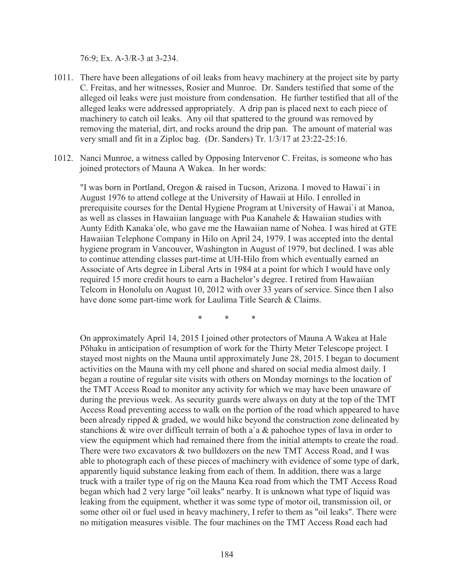76:9; Ex. A-3/R-3 at 3-234.

- 1011. There have been allegations of oil leaks from heavy machinery at the project site by party C. Freitas, and her witnesses, Rosier and Munroe. Dr. Sanders testified that some of the alleged oil leaks were just moisture from condensation. He further testified that all of the alleged leaks were addressed appropriately. A drip pan is placed next to each piece of machinery to catch oil leaks. Any oil that spattered to the ground was removed by removing the material, dirt, and rocks around the drip pan. The amount of material was very small and fit in a Ziploc bag. (Dr. Sanders) Tr. 1/3/17 at 23:22-25:16.
- 1012. Nanci Munroe, a witness called by Opposing Intervenor C. Freitas, is someone who has joined protectors of Mauna A Wakea. In her words:

"I was born in Portland, Oregon & raised in Tucson, Arizona. I moved to Hawai`i in August 1976 to attend college at the University of Hawaii at Hilo. I enrolled in prerequisite courses for the Dental Hygiene Program at University of Hawai`i at Manoa, as well as classes in Hawaiian language with Pua Kanahele & Hawaiian studies with Aunty Edith Kanaka`ole, who gave me the Hawaiian name of Nohea. I was hired at GTE Hawaiian Telephone Company in Hilo on April 24, 1979. I was accepted into the dental hygiene program in Vancouver, Washington in August of 1979, but declined. I was able to continue attending classes part-time at UH-Hilo from which eventually earned an Associate of Arts degree in Liberal Arts in 1984 at a point for which I would have only required 15 more credit hours to earn a Bachelor's degree. I retired from Hawaiian Telcom in Honolulu on August 10, 2012 with over 33 years of service. Since then I also have done some part-time work for Laulima Title Search & Claims.

\*\*\*

On approximately April 14, 2015 I joined other protectors of Mauna A Wakea at Hale Pōhaku in anticipation of resumption of work for the Thirty Meter Telescope project. I stayed most nights on the Mauna until approximately June 28, 2015. I began to document activities on the Mauna with my cell phone and shared on social media almost daily. I began a routine of regular site visits with others on Monday mornings to the location of the TMT Access Road to monitor any activity for which we may have been unaware of during the previous week. As security guards were always on duty at the top of the TMT Access Road preventing access to walk on the portion of the road which appeared to have been already ripped & graded, we would hike beyond the construction zone delineated by stanchions & wire over difficult terrain of both a`a & pahoehoe types of lava in order to view the equipment which had remained there from the initial attempts to create the road. There were two excavators & two bulldozers on the new TMT Access Road, and I was able to photograph each of these pieces of machinery with evidence of some type of dark, apparently liquid substance leaking from each of them. In addition, there was a large truck with a trailer type of rig on the Mauna Kea road from which the TMT Access Road began which had 2 very large "oil leaks" nearby. It is unknown what type of liquid was leaking from the equipment, whether it was some type of motor oil, transmission oil, or some other oil or fuel used in heavy machinery, I refer to them as "oil leaks". There were no mitigation measures visible. The four machines on the TMT Access Road each had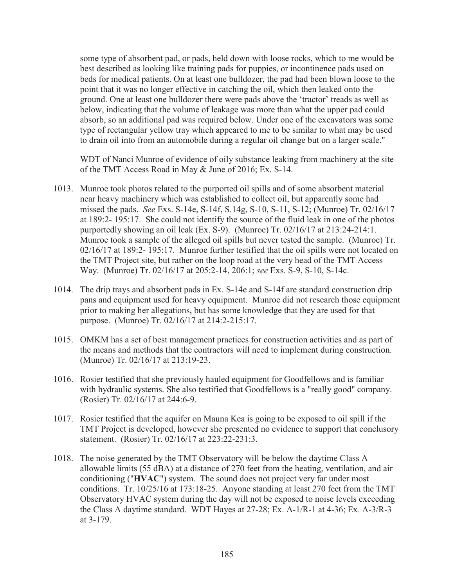some type of absorbent pad, or pads, held down with loose rocks, which to me would be best described as looking like training pads for puppies, or incontinence pads used on beds for medical patients. On at least one bulldozer, the pad had been blown loose to the point that it was no longer effective in catching the oil, which then leaked onto the ground. One at least one bulldozer there were pads above the 'tractor' treads as well as below, indicating that the volume of leakage was more than what the upper pad could absorb, so an additional pad was required below. Under one of the excavators was some type of rectangular yellow tray which appeared to me to be similar to what may be used to drain oil into from an automobile during a regular oil change but on a larger scale."

WDT of Nanci Munroe of evidence of oily substance leaking from machinery at the site of the TMT Access Road in May & June of 2016; Ex. S-14.

- 1013. Munroe took photos related to the purported oil spills and of some absorbent material near heavy machinery which was established to collect oil, but apparently some had missed the pads. *See* Exs. S-14e, S-14f, S.14g, S-10, S-11, S-12; (Munroe) Tr. 02/16/17 at 189:2- 195:17. She could not identify the source of the fluid leak in one of the photos purportedly showing an oil leak (Ex. S-9). (Munroe) Tr. 02/16/17 at 213:24-214:1. Munroe took a sample of the alleged oil spills but never tested the sample. (Munroe) Tr. 02/16/17 at 189:2- 195:17. Munroe further testified that the oil spills were not located on the TMT Project site, but rather on the loop road at the very head of the TMT Access Way. (Munroe) Tr. 02/16/17 at 205:2-14, 206:1; *see* Exs. S-9, S-10, S-14c.
- 1014. The drip trays and absorbent pads in Ex. S-14e and S-14f are standard construction drip pans and equipment used for heavy equipment. Munroe did not research those equipment prior to making her allegations, but has some knowledge that they are used for that purpose. (Munroe) Tr. 02/16/17 at 214:2-215:17.
- 1015. OMKM has a set of best management practices for construction activities and as part of the means and methods that the contractors will need to implement during construction. (Munroe) Tr. 02/16/17 at 213:19-23.
- 1016. Rosier testified that she previously hauled equipment for Goodfellows and is familiar with hydraulic systems. She also testified that Goodfellows is a "really good" company. (Rosier) Tr. 02/16/17 at 244:6-9.
- 1017. Rosier testified that the aquifer on Mauna Kea is going to be exposed to oil spill if the TMT Project is developed, however she presented no evidence to support that conclusory statement. (Rosier) Tr. 02/16/17 at 223:22-231:3.
- 1018. The noise generated by the TMT Observatory will be below the daytime Class A allowable limits (55 dBA) at a distance of 270 feet from the heating, ventilation, and air conditioning ("**HVAC**") system. The sound does not project very far under most conditions. Tr. 10/25/16 at 173:18-25. Anyone standing at least 270 feet from the TMT Observatory HVAC system during the day will not be exposed to noise levels exceeding the Class A daytime standard. WDT Hayes at 27-28; Ex. A-1/R-1 at 4-36; Ex. A-3/R-3 at 3-179.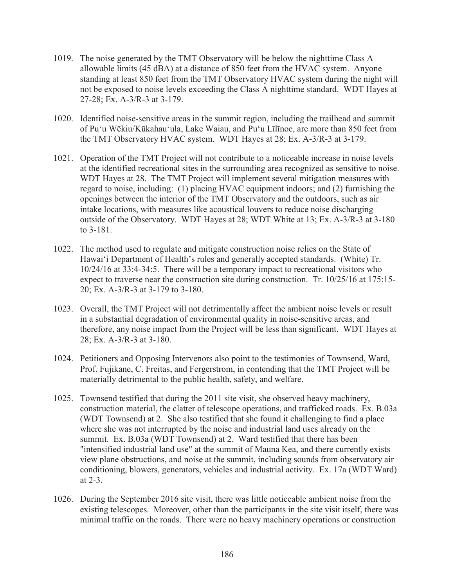- 1019. The noise generated by the TMT Observatory will be below the nighttime Class A allowable limits (45 dBA) at a distance of 850 feet from the HVAC system. Anyone standing at least 850 feet from the TMT Observatory HVAC system during the night will not be exposed to noise levels exceeding the Class A nighttime standard. WDT Hayes at 27-28; Ex. A-3/R-3 at 3-179.
- 1020. Identified noise-sensitive areas in the summit region, including the trailhead and summit of Pu'u Wēkiu/Kūkahau'ula, Lake Waiau, and Pu'u Līlīnoe, are more than 850 feet from the TMT Observatory HVAC system. WDT Hayes at 28; Ex. A-3/R-3 at 3-179.
- 1021. Operation of the TMT Project will not contribute to a noticeable increase in noise levels at the identified recreational sites in the surrounding area recognized as sensitive to noise. WDT Hayes at 28. The TMT Project will implement several mitigation measures with regard to noise, including: (1) placing HVAC equipment indoors; and (2) furnishing the openings between the interior of the TMT Observatory and the outdoors, such as air intake locations, with measures like acoustical louvers to reduce noise discharging outside of the Observatory. WDT Hayes at 28; WDT White at 13; Ex. A-3/R-3 at 3-180 to 3-181.
- 1022. The method used to regulate and mitigate construction noise relies on the State of Hawai'i Department of Health's rules and generally accepted standards. (White) Tr. 10/24/16 at 33:4-34:5. There will be a temporary impact to recreational visitors who expect to traverse near the construction site during construction. Tr. 10/25/16 at 175:15- 20; Ex. A-3/R-3 at 3-179 to 3-180.
- 1023. Overall, the TMT Project will not detrimentally affect the ambient noise levels or result in a substantial degradation of environmental quality in noise-sensitive areas, and therefore, any noise impact from the Project will be less than significant. WDT Hayes at 28; Ex. A-3/R-3 at 3-180.
- 1024. Petitioners and Opposing Intervenors also point to the testimonies of Townsend, Ward, Prof. Fujikane, C. Freitas, and Fergerstrom, in contending that the TMT Project will be materially detrimental to the public health, safety, and welfare.
- 1025. Townsend testified that during the 2011 site visit, she observed heavy machinery, construction material, the clatter of telescope operations, and trafficked roads. Ex. B.03a (WDT Townsend) at 2. She also testified that she found it challenging to find a place where she was not interrupted by the noise and industrial land uses already on the summit. Ex. B.03a (WDT Townsend) at 2. Ward testified that there has been "intensified industrial land use" at the summit of Mauna Kea, and there currently exists view plane obstructions, and noise at the summit, including sounds from observatory air conditioning, blowers, generators, vehicles and industrial activity. Ex. 17a (WDT Ward) at 2-3.
- 1026. During the September 2016 site visit, there was little noticeable ambient noise from the existing telescopes. Moreover, other than the participants in the site visit itself, there was minimal traffic on the roads. There were no heavy machinery operations or construction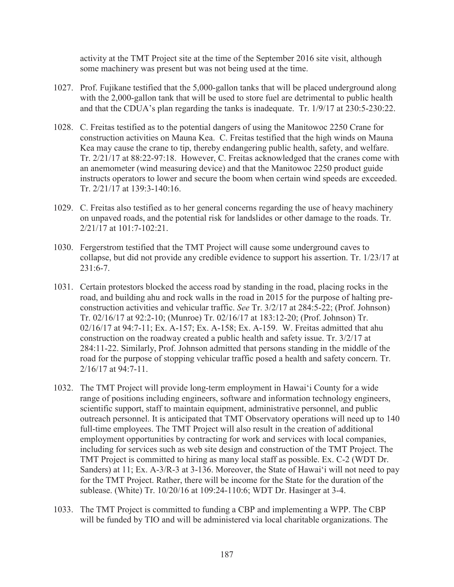activity at the TMT Project site at the time of the September 2016 site visit, although some machinery was present but was not being used at the time.

- 1027. Prof. Fujikane testified that the 5,000-gallon tanks that will be placed underground along with the 2,000-gallon tank that will be used to store fuel are detrimental to public health and that the CDUA's plan regarding the tanks is inadequate. Tr. 1/9/17 at 230:5-230:22.
- 1028. C. Freitas testified as to the potential dangers of using the Manitowoc 2250 Crane for construction activities on Mauna Kea. C. Freitas testified that the high winds on Mauna Kea may cause the crane to tip, thereby endangering public health, safety, and welfare. Tr. 2/21/17 at 88:22-97:18. However, C. Freitas acknowledged that the cranes come with an anemometer (wind measuring device) and that the Manitowoc 2250 product guide instructs operators to lower and secure the boom when certain wind speeds are exceeded. Tr. 2/21/17 at 139:3-140:16.
- 1029. C. Freitas also testified as to her general concerns regarding the use of heavy machinery on unpaved roads, and the potential risk for landslides or other damage to the roads. Tr. 2/21/17 at 101:7-102:21.
- 1030. Fergerstrom testified that the TMT Project will cause some underground caves to collapse, but did not provide any credible evidence to support his assertion. Tr. 1/23/17 at  $231:6-7.$
- 1031. Certain protestors blocked the access road by standing in the road, placing rocks in the road, and building ahu and rock walls in the road in 2015 for the purpose of halting preconstruction activities and vehicular traffic. *See* Tr. 3/2/17 at 284:5-22; (Prof. Johnson) Tr. 02/16/17 at 92:2-10; (Munroe) Tr. 02/16/17 at 183:12-20; (Prof. Johnson) Tr. 02/16/17 at 94:7-11; Ex. A-157; Ex. A-158; Ex. A-159. W. Freitas admitted that ahu construction on the roadway created a public health and safety issue. Tr. 3/2/17 at 284:11-22. Similarly, Prof. Johnson admitted that persons standing in the middle of the road for the purpose of stopping vehicular traffic posed a health and safety concern. Tr. 2/16/17 at 94:7-11.
- 1032. The TMT Project will provide long-term employment in Hawai'i County for a wide range of positions including engineers, software and information technology engineers, scientific support, staff to maintain equipment, administrative personnel, and public outreach personnel. It is anticipated that TMT Observatory operations will need up to 140 full-time employees. The TMT Project will also result in the creation of additional employment opportunities by contracting for work and services with local companies, including for services such as web site design and construction of the TMT Project. The TMT Project is committed to hiring as many local staff as possible. Ex. C-2 (WDT Dr. Sanders) at 11; Ex. A-3/R-3 at 3-136. Moreover, the State of Hawai'i will not need to pay for the TMT Project. Rather, there will be income for the State for the duration of the sublease. (White) Tr. 10/20/16 at 109:24-110:6; WDT Dr. Hasinger at 3-4.
- 1033. The TMT Project is committed to funding a CBP and implementing a WPP. The CBP will be funded by TIO and will be administered via local charitable organizations. The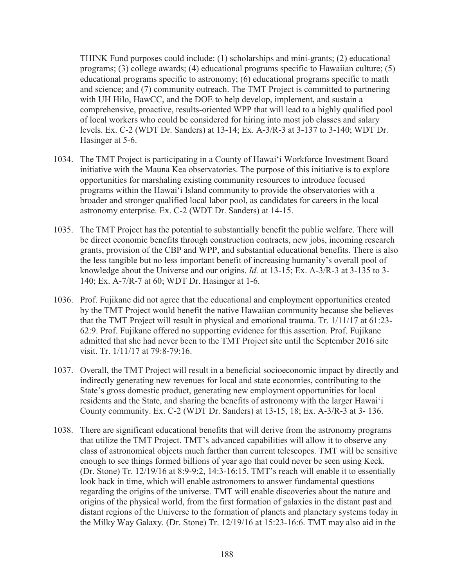THINK Fund purposes could include: (1) scholarships and mini-grants; (2) educational programs; (3) college awards; (4) educational programs specific to Hawaiian culture; (5) educational programs specific to astronomy; (6) educational programs specific to math and science; and (7) community outreach. The TMT Project is committed to partnering with UH Hilo, HawCC, and the DOE to help develop, implement, and sustain a comprehensive, proactive, results-oriented WPP that will lead to a highly qualified pool of local workers who could be considered for hiring into most job classes and salary levels. Ex. C-2 (WDT Dr. Sanders) at 13-14; Ex. A-3/R-3 at 3-137 to 3-140; WDT Dr. Hasinger at 5-6.

- 1034. The TMT Project is participating in a County of Hawai'i Workforce Investment Board initiative with the Mauna Kea observatories. The purpose of this initiative is to explore opportunities for marshaling existing community resources to introduce focused programs within the Hawai'i Island community to provide the observatories with a broader and stronger qualified local labor pool, as candidates for careers in the local astronomy enterprise. Ex. C-2 (WDT Dr. Sanders) at 14-15.
- 1035. The TMT Project has the potential to substantially benefit the public welfare. There will be direct economic benefits through construction contracts, new jobs, incoming research grants, provision of the CBP and WPP, and substantial educational benefits. There is also the less tangible but no less important benefit of increasing humanity's overall pool of knowledge about the Universe and our origins. *Id.* at 13-15; Ex. A-3/R-3 at 3-135 to 3- 140; Ex. A-7/R-7 at 60; WDT Dr. Hasinger at 1-6.
- 1036. Prof. Fujikane did not agree that the educational and employment opportunities created by the TMT Project would benefit the native Hawaiian community because she believes that the TMT Project will result in physical and emotional trauma. Tr. 1/11/17 at 61:23- 62:9. Prof. Fujikane offered no supporting evidence for this assertion. Prof. Fujikane admitted that she had never been to the TMT Project site until the September 2016 site visit. Tr. 1/11/17 at 79:8-79:16.
- 1037. Overall, the TMT Project will result in a beneficial socioeconomic impact by directly and indirectly generating new revenues for local and state economies, contributing to the State's gross domestic product, generating new employment opportunities for local residents and the State, and sharing the benefits of astronomy with the larger Hawai'i County community. Ex. C-2 (WDT Dr. Sanders) at 13-15, 18; Ex. A-3/R-3 at 3- 136.
- 1038. There are significant educational benefits that will derive from the astronomy programs that utilize the TMT Project. TMT's advanced capabilities will allow it to observe any class of astronomical objects much farther than current telescopes. TMT will be sensitive enough to see things formed billions of year ago that could never be seen using Keck. (Dr. Stone) Tr. 12/19/16 at 8:9-9:2, 14:3-16:15. TMT's reach will enable it to essentially look back in time, which will enable astronomers to answer fundamental questions regarding the origins of the universe. TMT will enable discoveries about the nature and origins of the physical world, from the first formation of galaxies in the distant past and distant regions of the Universe to the formation of planets and planetary systems today in the Milky Way Galaxy. (Dr. Stone) Tr. 12/19/16 at 15:23-16:6. TMT may also aid in the